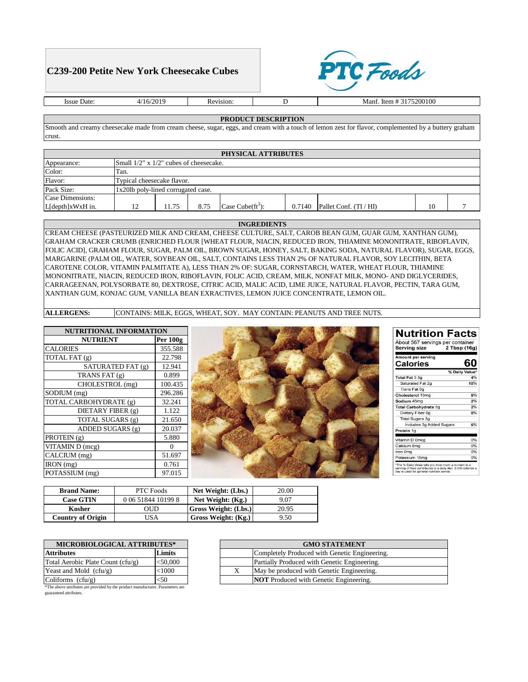## **C239-200 Petite New York Cheesecake Cubes**



Issue Date:  $4/16/2019$  Revision: D

Manf. Item # 3175200100

## **PRODUCT DESCRIPTION**

Smooth and creamy cheesecake made from cream cheese, sugar, eggs, and cream with a touch of lemon zest for flavor, complemented by a buttery graham crust.

| PHYSICAL ATTRIBUTES    |                                    |                                              |      |                      |        |                        |    |  |
|------------------------|------------------------------------|----------------------------------------------|------|----------------------|--------|------------------------|----|--|
| Appearance:            |                                    | Small $1/2$ " x $1/2$ " cubes of cheesecake. |      |                      |        |                        |    |  |
| Color:                 | Tan.                               |                                              |      |                      |        |                        |    |  |
| Flavor:                | Typical cheesecake flavor.         |                                              |      |                      |        |                        |    |  |
| Pack Size:             | 1x20lb poly-lined corrugated case. |                                              |      |                      |        |                        |    |  |
| Case Dimensions:       |                                    |                                              |      |                      |        |                        |    |  |
| $L[depth]$ x $WxH$ in. |                                    | 11.75                                        | 8.75 | Case Cube $(ft^3)$ : | 0.7140 | Pallet Conf. (TI / HI) | 10 |  |

## **INGREDIENTS**

CREAM CHEESE (PASTEURIZED MILK AND CREAM, CHEESE CULTURE, SALT, CAROB BEAN GUM, GUAR GUM, XANTHAN GUM), GRAHAM CRACKER CRUMB (ENRICHED FLOUR [WHEAT FLOUR, NIACIN, REDUCED IRON, THIAMINE MONONITRATE, RIBOFLAVIN, FOLIC ACID], GRAHAM FLOUR, SUGAR, PALM OIL, BROWN SUGAR, HONEY, SALT, BAKING SODA, NATURAL FLAVOR), SUGAR, EGGS, MARGARINE (PALM OIL, WATER, SOYBEAN OIL, SALT, CONTAINS LESS THAN 2% OF NATURAL FLAVOR, SOY LECITHIN, BETA CAROTENE COLOR, VITAMIN PALMITATE A), LESS THAN 2% OF: SUGAR, CORNSTARCH, WATER, WHEAT FLOUR, THIAMINE MONONITRATE, NIACIN, REDUCED IRON, RIBOFLAVIN, FOLIC ACID, CREAM, MILK, NONFAT MILK, MONO- AND DIGLYCERIDES, CARRAGEENAN, POLYSORBATE 80, DEXTROSE, CITRIC ACID, MALIC ACID, LIME JUICE, NATURAL FLAVOR, PECTIN, TARA GUM, XANTHAN GUM, KONJAC GUM, VANILLA BEAN EXRACTIVES, LEMON JUICE CONCENTRATE, LEMON OIL.

**ALLERGENS:** CONTAINS: MILK, EGGS, WHEAT, SOY. MAY CONTAIN: PEANUTS AND TREE NUTS.

| <b>NUTRITIONAL INFORMATION</b> |          |  |
|--------------------------------|----------|--|
| <b>NUTRIENT</b>                | Per 100g |  |
| <b>CALORIES</b>                | 355.588  |  |
| TOTAL FAT (g)                  | 22.798   |  |
| SATURATED FAT (g)              | 12.941   |  |
| TRANS FAT (g)                  | 0.899    |  |
| CHOLESTROL (mg)                | 100.435  |  |
| SODIUM (mg)                    | 296.286  |  |
| TOTAL CARBOHYDRATE (g)         | 32.241   |  |
| DIETARY FIBER (g)              | 1.122    |  |
| TOTAL SUGARS (g)               | 21.650   |  |
| ADDED SUGARS (g)               | 20.037   |  |
| PROTEIN $(g)$                  | 5.880    |  |
| VITAMIN D (mcg)                | 0        |  |
| CALCIUM (mg)                   | 51.697   |  |
| IRON (mg)                      | 0.761    |  |
| POTASSIUM (mg)                 | 97.015   |  |



## **Nutrition Facts**

| Amount per serving<br>Calories | 60             |
|--------------------------------|----------------|
|                                | % Daily Value* |
| Total Fat 3.5g                 | 4%             |
| Saturated Fat 2g               | 10%            |
| Trans Fat 0g                   |                |
| Cholesterol 15mg               | 5%             |
| Sodium 45mg                    | 2%             |
| <b>Total Carbohydrate 5g</b>   | 2%             |
| Dietary Fiber 0g               | 0%             |
| <b>Total Sugars 3g</b>         |                |
| Includes 3g Added Sugars       | 6%             |
| Protein 1g                     |                |
| Vitamin D 0mcg                 | 0%             |
| Calcium 8mg                    | 0%             |
| Iron 0mg                       | 0%             |
| Potassium 16mg                 | 0%             |

| <b>Brand Name:</b>       | <b>PTC Foods</b>   | Net Weight: (Lbs.)          | 20.00 |
|--------------------------|--------------------|-----------------------------|-------|
| <b>Case GTIN</b>         | 0 06 51844 10199 8 | Net Weight: (Kg.)           | 9.07  |
| Kosher                   | OUD                | <b>Gross Weight: (Lbs.)</b> | 20.95 |
| <b>Country of Origin</b> | JSA                | Gross Weight: (Kg.)         | 9.50  |

| <b>MICROBIOLOGICAL ATTRIBUTES*</b>                                             |            |  |
|--------------------------------------------------------------------------------|------------|--|
| <b>Attributes</b>                                                              | Limits     |  |
| Total Aerobic Plate Count (cfu/g)                                              | $<$ 50,000 |  |
| Yeast and Mold $(cfu/g)$                                                       | < 1000     |  |
| Coliforms $(cfu/g)$                                                            | <50        |  |
| *The above attributes are provided by the product manufacturer. Parameters are |            |  |

guaranteed attributes.

| <b>GMO STATEMENT</b> |                                               |  |  |  |
|----------------------|-----------------------------------------------|--|--|--|
|                      | Completely Produced with Genetic Engineering. |  |  |  |
|                      | Partially Produced with Genetic Engineering.  |  |  |  |
| X                    | May be produced with Genetic Engineering.     |  |  |  |
|                      | <b>NOT</b> Produced with Genetic Engineering. |  |  |  |